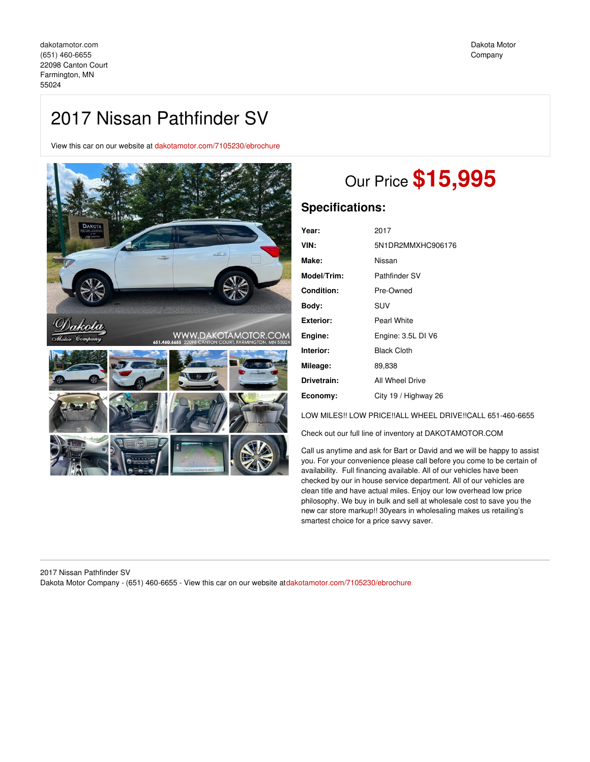## 2017 Nissan Pathfinder SV

View this car on our website at [dakotamotor.com/7105230/ebrochure](https://dakotamotor.com/vehicle/7105230/2017-nissan-pathfinder-sv-farmington-mn-55024/7105230/ebrochure)



# Our Price **\$15,995**

## **Specifications:**

| Year:       | 2017                 |
|-------------|----------------------|
| VIN:        | 5N1DR2MMXHC906176    |
| Make:       | Nissan               |
| Model/Trim: | Pathfinder SV        |
| Condition:  | Pre-Owned            |
| Bodv:       | SUV                  |
| Exterior:   | Pearl White          |
| Engine:     | Engine: 3.5L DI V6   |
| Interior:   | <b>Black Cloth</b>   |
| Mileage:    | 89,838               |
| Drivetrain: | All Wheel Drive      |
| Economy:    | City 19 / Highway 26 |
|             |                      |

LOW MILES!! LOW PRICE!!ALL WHEEL DRIVE!!CALL 651-460-6655

Check out our full line of inventory at DAKOTAMOTOR.COM

Call us anytime and ask for Bart or David and we will be happy to assist you. For your convenience please call before you come to be certain of availability. Full financing available. All of our vehicles have been checked by our in house service department. All of our vehicles are clean title and have actual miles. Enjoy our low overhead low price philosophy. We buy in bulk and sell at wholesale cost to save you the new car store markup!! 30years in wholesaling makes us retailing's smartest choice for a price savvy saver.

2017 Nissan Pathfinder SV Dakota Motor Company - (651) 460-6655 - View this car on our website at[dakotamotor.com/7105230/ebrochure](https://dakotamotor.com/vehicle/7105230/2017-nissan-pathfinder-sv-farmington-mn-55024/7105230/ebrochure)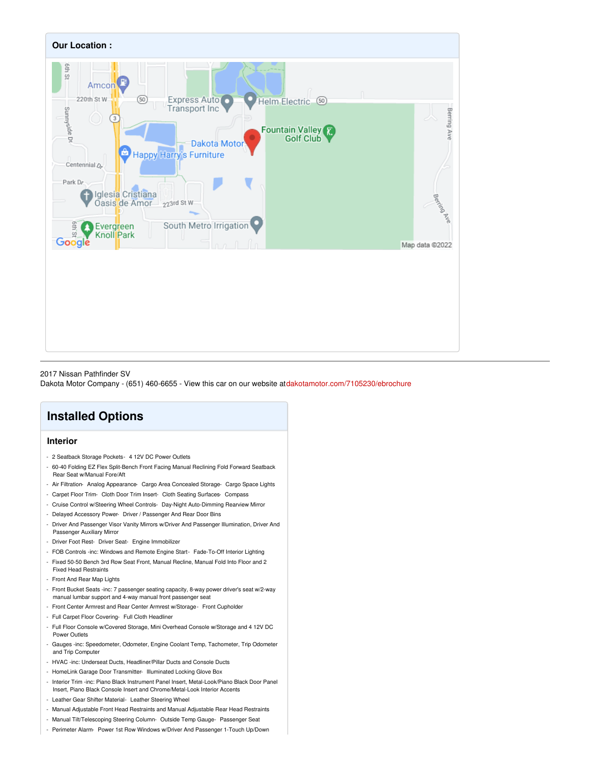

#### 2017 Nissan Pathfinder SV

Dakota Motor Company - (651) 460-6655 - View this car on our website at[dakotamotor.com/7105230/ebrochure](https://dakotamotor.com/vehicle/7105230/2017-nissan-pathfinder-sv-farmington-mn-55024/7105230/ebrochure)

## **Installed Options**

## **Interior**

- 2 Seatback Storage Pockets- 4 12V DC Power Outlets
- 60-40 Folding EZ Flex Split-Bench Front Facing Manual Reclining Fold Forward Seatback Rear Seat w/Manual Fore/Aft
- Air Filtration- Analog Appearance- Cargo Area Concealed Storage- Cargo Space Lights
- Carpet Floor Trim- Cloth Door Trim Insert- Cloth Seating Surfaces- Compass
- Cruise Control w/Steering Wheel Controls- Day-Night Auto-Dimming Rearview Mirror
- Delayed Accessory Power- Driver / Passenger And Rear Door Bins
- Driver And Passenger Visor Vanity Mirrors w/Driver And Passenger Illumination, Driver And Passenger Auxiliary Mirror
- Driver Foot Rest- Driver Seat- Engine Immobilizer
- FOB Controls -inc: Windows and Remote Engine Start- Fade-To-Off Interior Lighting
- Fixed 50-50 Bench 3rd Row Seat Front, Manual Recline, Manual Fold Into Floor and 2 Fixed Head Restraints
- Front And Rear Map Lights
- Front Bucket Seats -inc: 7 passenger seating capacity, 8-way power driver's seat w/2-way manual lumbar support and 4-way manual front passenger seat
- Front Center Armrest and Rear Center Armrest w/Storage- Front Cupholder
- Full Carpet Floor Covering- Full Cloth Headliner
- Full Floor Console w/Covered Storage, Mini Overhead Console w/Storage and 4 12V DC Power Outlets
- Gauges -inc: Speedometer, Odometer, Engine Coolant Temp, Tachometer, Trip Odometer and Trip Computer
- HVAC -inc: Underseat Ducts, Headliner/Pillar Ducts and Console Ducts
- HomeLink Garage Door Transmitter- Illuminated Locking Glove Box
- Interior Trim -inc: Piano Black Instrument Panel Insert, Metal-Look/Piano Black Door Panel Insert, Piano Black Console Insert and Chrome/Metal-Look Interior Accents
- Leather Gear Shifter Material- Leather Steering Wheel
- Manual Adjustable Front Head Restraints and Manual Adjustable Rear Head Restraints
- Manual Tilt/Telescoping Steering Column- Outside Temp Gauge- Passenger Seat
- Perimeter Alarm- Power 1st Row Windows w/Driver And Passenger 1-Touch Up/Down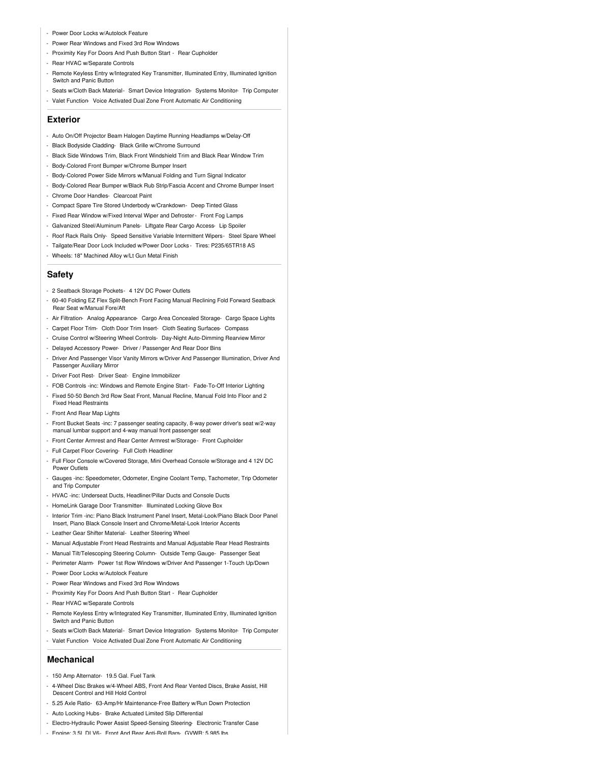- Power Door Locks w/Autolock Feature
- Power Rear Windows and Fixed 3rd Row Windows
- Proximity Key For Doors And Push Button Start Rear Cupholder
- Rear HVAC w/Separate Controls
- Remote Keyless Entry w/Integrated Key Transmitter, Illuminated Entry, Illuminated Ignition Switch and Panic Button
- Seats w/Cloth Back Material- Smart Device Integration- Systems Monitor- Trip Computer - Valet Function- Voice Activated Dual Zone Front Automatic Air Conditioning
- 

### **Exterior**

- Auto On/Off Projector Beam Halogen Daytime Running Headlamps w/Delay-Off
- Black Bodyside Cladding- Black Grille w/Chrome Surround
- Black Side Windows Trim, Black Front Windshield Trim and Black Rear Window Trim
- Body-Colored Front Bumper w/Chrome Bumper Insert
- Body-Colored Power Side Mirrors w/Manual Folding and Turn Signal Indicator
- Body-Colored Rear Bumper w/Black Rub Strip/Fascia Accent and Chrome Bumper Insert
- Chrome Door Handles- Clearcoat Paint
- Compact Spare Tire Stored Underbody w/Crankdown- Deep Tinted Glass
- Fixed Rear Window w/Fixed Interval Wiper and Defroster- Front Fog Lamps
- Galvanized Steel/Aluminum Panels- Liftgate Rear Cargo Access- Lip Spoiler
- Roof Rack Rails Only- Speed Sensitive Variable Intermittent Wipers- Steel Spare Wheel
- Tailgate/Rear Door Lock Included w/Power Door Locks Tires: P235/65TR18 AS
- Wheels: 18" Machined Alloy w/Lt Gun Metal Finish

### **Safety**

- 2 Seatback Storage Pockets- 4 12V DC Power Outlets
- 60-40 Folding EZ Flex Split-Bench Front Facing Manual Reclining Fold Forward Seatback Rear Seat w/Manual Fore/Aft
- Air Filtration- Analog Appearance- Cargo Area Concealed Storage- Cargo Space Lights
- Carpet Floor Trim- Cloth Door Trim Insert- Cloth Seating Surfaces- Compass
- Cruise Control w/Steering Wheel Controls- Day-Night Auto-Dimming Rearview Mirror
- Delayed Accessory Power- Driver / Passenger And Rear Door Bins
- Driver And Passenger Visor Vanity Mirrors w/Driver And Passenger Illumination, Driver And Passenger Auxiliary Mirror
- Driver Foot Rest- Driver Seat- Engine Immobilizer
- FOB Controls -inc: Windows and Remote Engine Start- Fade-To-Off Interior Lighting
- Fixed 50-50 Bench 3rd Row Seat Front, Manual Recline, Manual Fold Into Floor and 2 Fixed Head Restraints
- Front And Rear Map Lights
- Front Bucket Seats -inc: 7 passenger seating capacity, 8-way power driver's seat w/2-way manual lumbar support and 4-way manual front passenger seat
- Front Center Armrest and Rear Center Armrest w/Storage- Front Cupholder
- Full Carpet Floor Covering- Full Cloth Headliner
- Full Floor Console w/Covered Storage, Mini Overhead Console w/Storage and 4 12V DC Power Outlets
- Gauges -inc: Speedometer, Odometer, Engine Coolant Temp, Tachometer, Trip Odometer and Trip Computer
- HVAC -inc: Underseat Ducts, Headliner/Pillar Ducts and Console Ducts
- HomeLink Garage Door Transmitter- Illuminated Locking Glove Box
- Interior Trim -inc: Piano Black Instrument Panel Insert, Metal-Look/Piano Black Door Panel Insert, Piano Black Console Insert and Chrome/Metal-Look Interior Accents
- Leather Gear Shifter Material- Leather Steering Wheel
- Manual Adjustable Front Head Restraints and Manual Adjustable Rear Head Restraints
- Manual Tilt/Telescoping Steering Column- Outside Temp Gauge- Passenger Seat
- Perimeter Alarm- Power 1st Row Windows w/Driver And Passenger 1-Touch Up/Down
- Power Door Locks w/Autolock Feature
- Power Rear Windows and Fixed 3rd Row Windows
- Proximity Key For Doors And Push Button Start Rear Cupholder
- Rear HVAC w/Separate Controls
- Remote Keyless Entry w/Integrated Key Transmitter, Illuminated Entry, Illuminated Ignition Switch and Panic Button
- Seats w/Cloth Back Material- Smart Device Integration- Systems Monitor- Trip Computer
- Valet Function- Voice Activated Dual Zone Front Automatic Air Conditioning

## **Mechanical**

- 150 Amp Alternator- 19.5 Gal. Fuel Tank
- 4-Wheel Disc Brakes w/4-Wheel ABS, Front And Rear Vented Discs, Brake Assist, Hill Descent Control and Hill Hold Control
- 5.25 Axle Ratio- 63-Amp/Hr Maintenance-Free Battery w/Run Down Protection
- Auto Locking Hubs- Brake Actuated Limited Slip Differential
- Electro-Hydraulic Power Assist Speed-Sensing Steering- Electronic Transfer Case
- Engine: 3.5L DJ V6- Front And Rear Anti-Roll Bars- GVWR: 5,985 lbs